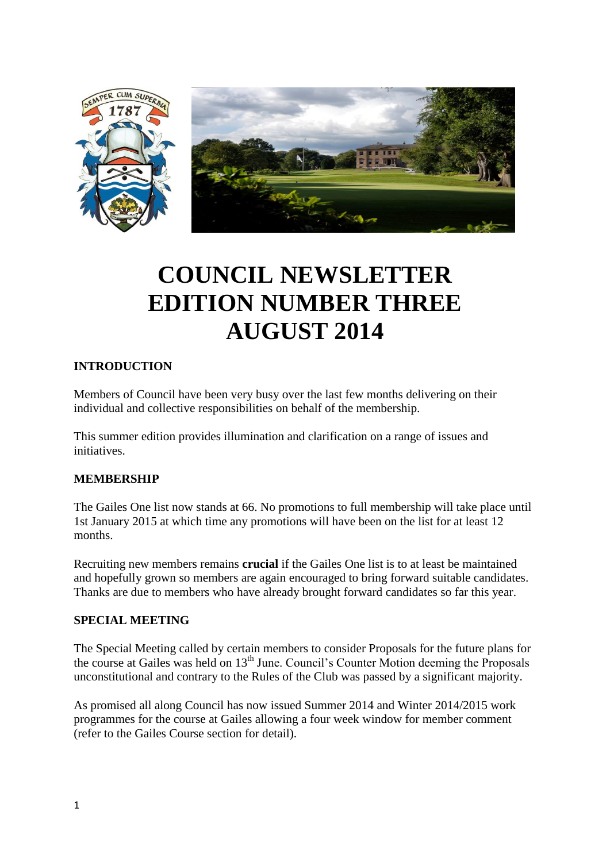

# **COUNCIL NEWSLETTER EDITION NUMBER THREE AUGUST 2014**

#### **INTRODUCTION**

Members of Council have been very busy over the last few months delivering on their individual and collective responsibilities on behalf of the membership.

This summer edition provides illumination and clarification on a range of issues and initiatives.

#### **MEMBERSHIP**

The Gailes One list now stands at 66. No promotions to full membership will take place until 1st January 2015 at which time any promotions will have been on the list for at least 12 months.

Recruiting new members remains **crucial** if the Gailes One list is to at least be maintained and hopefully grown so members are again encouraged to bring forward suitable candidates. Thanks are due to members who have already brought forward candidates so far this year.

#### **SPECIAL MEETING**

The Special Meeting called by certain members to consider Proposals for the future plans for the course at Gailes was held on 13th June. Council's Counter Motion deeming the Proposals unconstitutional and contrary to the Rules of the Club was passed by a significant majority.

As promised all along Council has now issued Summer 2014 and Winter 2014/2015 work programmes for the course at Gailes allowing a four week window for member comment (refer to the Gailes Course section for detail).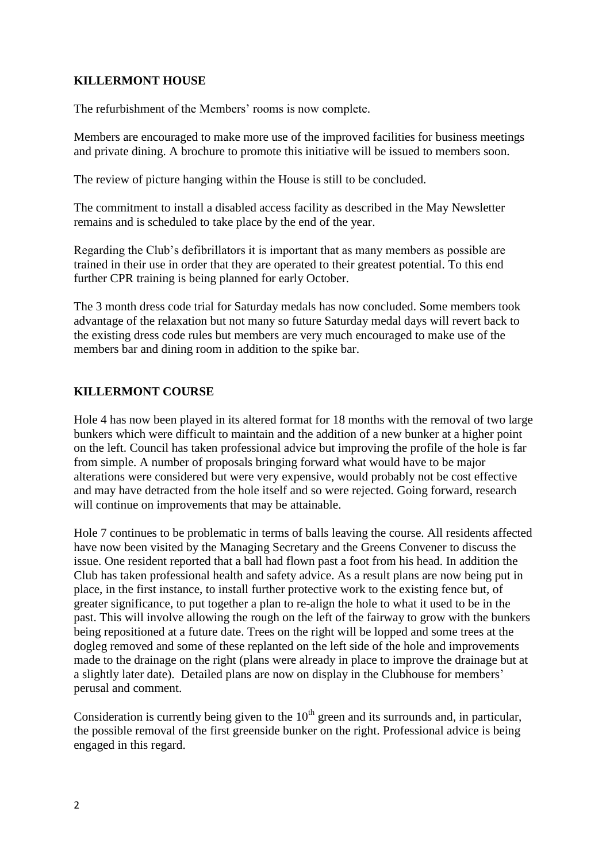### **KILLERMONT HOUSE**

The refurbishment of the Members' rooms is now complete.

Members are encouraged to make more use of the improved facilities for business meetings and private dining. A brochure to promote this initiative will be issued to members soon.

The review of picture hanging within the House is still to be concluded.

The commitment to install a disabled access facility as described in the May Newsletter remains and is scheduled to take place by the end of the year.

Regarding the Club's defibrillators it is important that as many members as possible are trained in their use in order that they are operated to their greatest potential. To this end further CPR training is being planned for early October.

The 3 month dress code trial for Saturday medals has now concluded. Some members took advantage of the relaxation but not many so future Saturday medal days will revert back to the existing dress code rules but members are very much encouraged to make use of the members bar and dining room in addition to the spike bar.

## **KILLERMONT COURSE**

Hole 4 has now been played in its altered format for 18 months with the removal of two large bunkers which were difficult to maintain and the addition of a new bunker at a higher point on the left. Council has taken professional advice but improving the profile of the hole is far from simple. A number of proposals bringing forward what would have to be major alterations were considered but were very expensive, would probably not be cost effective and may have detracted from the hole itself and so were rejected. Going forward, research will continue on improvements that may be attainable.

Hole 7 continues to be problematic in terms of balls leaving the course. All residents affected have now been visited by the Managing Secretary and the Greens Convener to discuss the issue. One resident reported that a ball had flown past a foot from his head. In addition the Club has taken professional health and safety advice. As a result plans are now being put in place, in the first instance, to install further protective work to the existing fence but, of greater significance, to put together a plan to re-align the hole to what it used to be in the past. This will involve allowing the rough on the left of the fairway to grow with the bunkers being repositioned at a future date. Trees on the right will be lopped and some trees at the dogleg removed and some of these replanted on the left side of the hole and improvements made to the drainage on the right (plans were already in place to improve the drainage but at a slightly later date). Detailed plans are now on display in the Clubhouse for members' perusal and comment.

Consideration is currently being given to the  $10<sup>th</sup>$  green and its surrounds and, in particular, the possible removal of the first greenside bunker on the right. Professional advice is being engaged in this regard.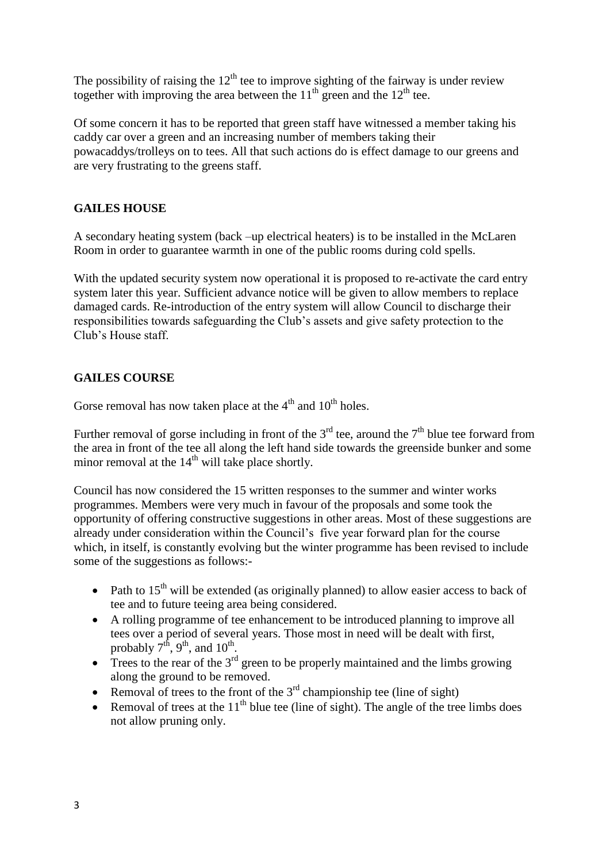The possibility of raising the  $12<sup>th</sup>$  tee to improve sighting of the fairway is under review together with improving the area between the  $11<sup>th</sup>$  green and the  $12<sup>th</sup>$  tee.

Of some concern it has to be reported that green staff have witnessed a member taking his caddy car over a green and an increasing number of members taking their powacaddys/trolleys on to tees. All that such actions do is effect damage to our greens and are very frustrating to the greens staff.

### **GAILES HOUSE**

A secondary heating system (back –up electrical heaters) is to be installed in the McLaren Room in order to guarantee warmth in one of the public rooms during cold spells.

With the updated security system now operational it is proposed to re-activate the card entry system later this year. Sufficient advance notice will be given to allow members to replace damaged cards. Re-introduction of the entry system will allow Council to discharge their responsibilities towards safeguarding the Club's assets and give safety protection to the Club's House staff.

## **GAILES COURSE**

Gorse removal has now taken place at the  $4<sup>th</sup>$  and  $10<sup>th</sup>$  holes.

Further removal of gorse including in front of the  $3<sup>rd</sup>$  tee, around the  $7<sup>th</sup>$  blue tee forward from the area in front of the tee all along the left hand side towards the greenside bunker and some minor removal at the  $14<sup>th</sup>$  will take place shortly.

Council has now considered the 15 written responses to the summer and winter works programmes. Members were very much in favour of the proposals and some took the opportunity of offering constructive suggestions in other areas. Most of these suggestions are already under consideration within the Council's five year forward plan for the course which, in itself, is constantly evolving but the winter programme has been revised to include some of the suggestions as follows:-

- Path to  $15<sup>th</sup>$  will be extended (as originally planned) to allow easier access to back of tee and to future teeing area being considered.
- A rolling programme of tee enhancement to be introduced planning to improve all tees over a period of several years. Those most in need will be dealt with first, probably  $7<sup>th</sup>$ ,  $9<sup>th</sup>$ , and  $10<sup>th</sup>$ .
- $\bullet$  Trees to the rear of the 3<sup>rd</sup> green to be properly maintained and the limbs growing along the ground to be removed.
- Removal of trees to the front of the  $3<sup>rd</sup>$  championship tee (line of sight)
- Removal of trees at the  $11<sup>th</sup>$  blue tee (line of sight). The angle of the tree limbs does not allow pruning only.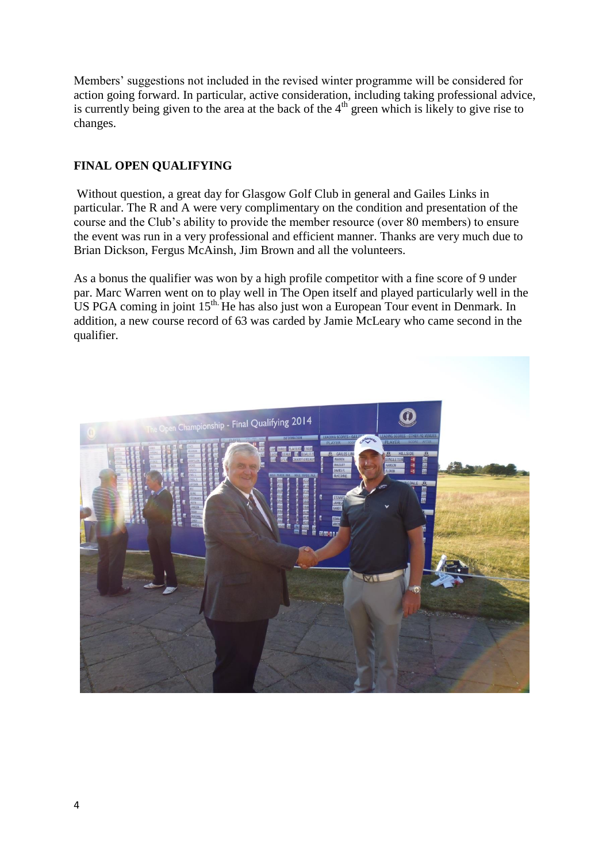Members' suggestions not included in the revised winter programme will be considered for action going forward. In particular, active consideration, including taking professional advice, is currently being given to the area at the back of the  $4<sup>th</sup>$  green which is likely to give rise to changes.

### **FINAL OPEN QUALIFYING**

Without question, a great day for Glasgow Golf Club in general and Gailes Links in particular. The R and A were very complimentary on the condition and presentation of the course and the Club's ability to provide the member resource (over 80 members) to ensure the event was run in a very professional and efficient manner. Thanks are very much due to Brian Dickson, Fergus McAinsh, Jim Brown and all the volunteers.

As a bonus the qualifier was won by a high profile competitor with a fine score of 9 under par. Marc Warren went on to play well in The Open itself and played particularly well in the US PGA coming in joint 15<sup>th.</sup> He has also just won a European Tour event in Denmark. In addition, a new course record of 63 was carded by Jamie McLeary who came second in the qualifier.

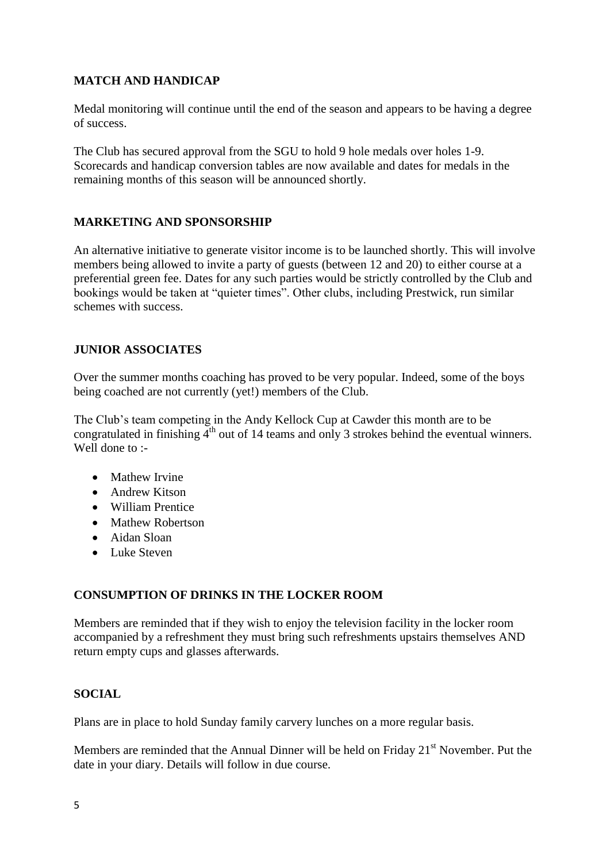## **MATCH AND HANDICAP**

Medal monitoring will continue until the end of the season and appears to be having a degree of success.

The Club has secured approval from the SGU to hold 9 hole medals over holes 1-9. Scorecards and handicap conversion tables are now available and dates for medals in the remaining months of this season will be announced shortly.

#### **MARKETING AND SPONSORSHIP**

An alternative initiative to generate visitor income is to be launched shortly. This will involve members being allowed to invite a party of guests (between 12 and 20) to either course at a preferential green fee. Dates for any such parties would be strictly controlled by the Club and bookings would be taken at "quieter times". Other clubs, including Prestwick, run similar schemes with success.

#### **JUNIOR ASSOCIATES**

Over the summer months coaching has proved to be very popular. Indeed, some of the boys being coached are not currently (yet!) members of the Club.

The Club's team competing in the Andy Kellock Cup at Cawder this month are to be congratulated in finishing  $\overline{4}^{th}$  out of 14 teams and only 3 strokes behind the eventual winners. Well done to :-

- Mathew Irvine
- Andrew Kitson
- William Prentice
- Mathew Robertson
- Aidan Sloan
- Luke Steven

#### **CONSUMPTION OF DRINKS IN THE LOCKER ROOM**

Members are reminded that if they wish to enjoy the television facility in the locker room accompanied by a refreshment they must bring such refreshments upstairs themselves AND return empty cups and glasses afterwards.

#### **SOCIAL**

Plans are in place to hold Sunday family carvery lunches on a more regular basis.

Members are reminded that the Annual Dinner will be held on Friday  $21<sup>st</sup>$  November. Put the date in your diary. Details will follow in due course.